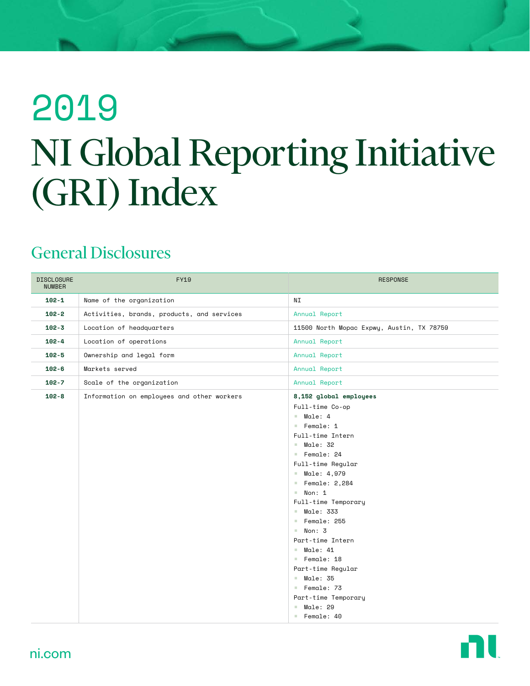# 2019 NI Global Reporting Initiative (GRI) Index

#### General Disclosures

| <b>DISCLOSURE</b><br><b>NUMBER</b> | <b>FY19</b>                                | <b>RESPONSE</b>                                                                                                                                                                                                                                                                                                                                                                                                                  |
|------------------------------------|--------------------------------------------|----------------------------------------------------------------------------------------------------------------------------------------------------------------------------------------------------------------------------------------------------------------------------------------------------------------------------------------------------------------------------------------------------------------------------------|
| $102 - 1$                          | Name of the organization                   | NΙ                                                                                                                                                                                                                                                                                                                                                                                                                               |
| $102 - 2$                          | Activities, brands, products, and services | Annual Report                                                                                                                                                                                                                                                                                                                                                                                                                    |
| $102 - 3$                          | Location of headquarters                   | 11500 North Mopac Expwy, Austin, TX 78759                                                                                                                                                                                                                                                                                                                                                                                        |
| $102 - 4$                          | Location of operations                     | Annual Report                                                                                                                                                                                                                                                                                                                                                                                                                    |
| $102 - 5$                          | Ownership and legal form                   | Annual Report                                                                                                                                                                                                                                                                                                                                                                                                                    |
| $102 - 6$                          | Markets served                             | Annual Report                                                                                                                                                                                                                                                                                                                                                                                                                    |
| $102 - 7$                          | Scale of the organization                  | Annual Report                                                                                                                                                                                                                                                                                                                                                                                                                    |
| $102 - 8$                          | Information on employees and other workers | 8,152 global employees<br>Full-time Co-op<br>$M$ ale: 4<br>Female: 1<br>Full-time Intern<br>$M$ ale: 32<br>Female: 24<br>Full-time Reqular<br><b>Male: 4,979</b><br>Female: $2,284$<br>$\blacksquare$ Non: 1<br>Full-time Temporary<br>$M$ ale: 333<br>Female: 255<br>Non: 3<br>Part-time Intern<br>$M = 21$<br>Female: 18<br>Part-time Regular<br>$M$ ale: 35<br>Female: 73<br>Part-time Temporary<br>$M$ ale: 29<br>Female: 40 |

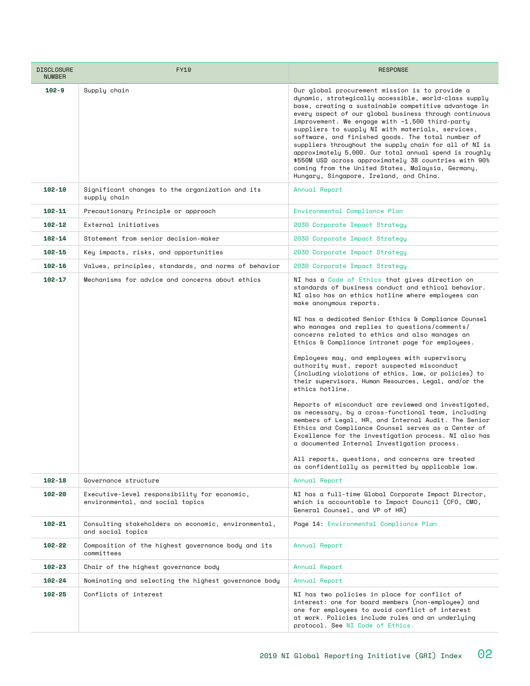| <b>DISCLOSURE</b><br><b>NUMBER</b> | FY19                                                                             | <b>RESPONSE</b>                                                                                                                                                                                                                                                                                                                                                                                                                                                                                                                                                                                                                                                                                                                                                                                                                                                                                                                                                                                                                                                                              |
|------------------------------------|----------------------------------------------------------------------------------|----------------------------------------------------------------------------------------------------------------------------------------------------------------------------------------------------------------------------------------------------------------------------------------------------------------------------------------------------------------------------------------------------------------------------------------------------------------------------------------------------------------------------------------------------------------------------------------------------------------------------------------------------------------------------------------------------------------------------------------------------------------------------------------------------------------------------------------------------------------------------------------------------------------------------------------------------------------------------------------------------------------------------------------------------------------------------------------------|
| $102 - 9$                          | Supply chain                                                                     | Our global procurement mission is to provide a<br>dynamic, strategically accessible, world-class supply<br>base, creating a sustainable competitive advantage in<br>every aspect of our global business through continuous<br>improvement. We engage with $-1,500$ third-party<br>suppliers to supply NI with materials, services,<br>software, and finished goods. The total number of<br>suppliers throughout the supply chain for all of NI is<br>approximately 5,000. Our total annual spend is roughly<br>\$550M USD across approximately 38 countries with 90%<br>coming from the United States, Malaysia, Germany,<br>Hungary, Singapore, Ireland, and China.                                                                                                                                                                                                                                                                                                                                                                                                                         |
| $102 - 10$                         | Significant changes to the organization and its<br>supply chain                  | Annual Report                                                                                                                                                                                                                                                                                                                                                                                                                                                                                                                                                                                                                                                                                                                                                                                                                                                                                                                                                                                                                                                                                |
| 102-11                             | Precautionary Principle or approach                                              | Environmental Compliance Plan                                                                                                                                                                                                                                                                                                                                                                                                                                                                                                                                                                                                                                                                                                                                                                                                                                                                                                                                                                                                                                                                |
| $102 - 12$                         | External initiatives                                                             | 2030 Corporate Impact Stratequ                                                                                                                                                                                                                                                                                                                                                                                                                                                                                                                                                                                                                                                                                                                                                                                                                                                                                                                                                                                                                                                               |
| $102 - 14$                         | Statement from senior decision-maker                                             | 2030 Corporate Impact Stratequ                                                                                                                                                                                                                                                                                                                                                                                                                                                                                                                                                                                                                                                                                                                                                                                                                                                                                                                                                                                                                                                               |
| $102 - 15$                         | Key impacts, risks, and opportunities                                            | 2030 Corporate Impact Strategy                                                                                                                                                                                                                                                                                                                                                                                                                                                                                                                                                                                                                                                                                                                                                                                                                                                                                                                                                                                                                                                               |
| $102 - 16$                         | Values, principles, standards, and norms of behavior                             | 2030 Corporate Impact Strategy                                                                                                                                                                                                                                                                                                                                                                                                                                                                                                                                                                                                                                                                                                                                                                                                                                                                                                                                                                                                                                                               |
| $102 - 17$                         | Mechanisms for advice and concerns about ethics                                  | NI has a Code of Ethics that gives direction on<br>standards of business conduct and ethical behavior.<br>NI also has an ethics hotline where employees can<br>make anonymous reports.<br>NI has a dedicated Senior Ethics & Compliance Counsel<br>who manages and replies to questions/comments/<br>concerns related to ethics and also manages an<br>Ethics & Compliance intranet page for employees.<br>Employees may, and employees with supervisory<br>authority must, report suspected misconduct<br>(including violations of ethics, law, or policies) to<br>their supervisors, Human Resources, Legal, and/or the<br>ethics hotline.<br>Reports of misconduct are reviewed and investigated,<br>as necessary, by a cross-functional team, including<br>members of Legal, HR, and Internal Audit. The Senior<br>Ethics and Compliance Counsel serves as a Center of<br>Excellence for the investigation process. NI also has<br>a documented Internal Investigation process.<br>All reports, questions, and concerns are treated<br>as confidentially as permitted by applicable law. |
| $102 - 18$                         | Governance structure                                                             | Annual Report                                                                                                                                                                                                                                                                                                                                                                                                                                                                                                                                                                                                                                                                                                                                                                                                                                                                                                                                                                                                                                                                                |
| 102-20                             | Executive-level responsibility for economic,<br>environmental, and social topics | NI has a full-time Global Corporate Impact Director,<br>which is accountable to Impact Council (CFO, CMO,<br>General Counsel, and VP of HR)                                                                                                                                                                                                                                                                                                                                                                                                                                                                                                                                                                                                                                                                                                                                                                                                                                                                                                                                                  |
| $102 - 21$                         | Consulting stakeholders on economic, environmental,<br>and social topics         | Page 14: Environmental Compliance Plan                                                                                                                                                                                                                                                                                                                                                                                                                                                                                                                                                                                                                                                                                                                                                                                                                                                                                                                                                                                                                                                       |
| $102 - 22$                         | Composition of the highest governance body and its<br>committees                 | Annual Report                                                                                                                                                                                                                                                                                                                                                                                                                                                                                                                                                                                                                                                                                                                                                                                                                                                                                                                                                                                                                                                                                |
| $102 - 23$                         | Chair of the highest governance body                                             | Annual Report                                                                                                                                                                                                                                                                                                                                                                                                                                                                                                                                                                                                                                                                                                                                                                                                                                                                                                                                                                                                                                                                                |
| 102-24                             | Nominating and selecting the highest governance body                             | Annual Report                                                                                                                                                                                                                                                                                                                                                                                                                                                                                                                                                                                                                                                                                                                                                                                                                                                                                                                                                                                                                                                                                |
| 102-25                             | Conflicts of interest                                                            | NI has two policies in place for conflict of<br>interest: one for board members (non-employee) and<br>one for employees to avoid conflict of interest<br>at work. Policies include rules and an underlying<br>protocol. See NI Code of Ethics.                                                                                                                                                                                                                                                                                                                                                                                                                                                                                                                                                                                                                                                                                                                                                                                                                                               |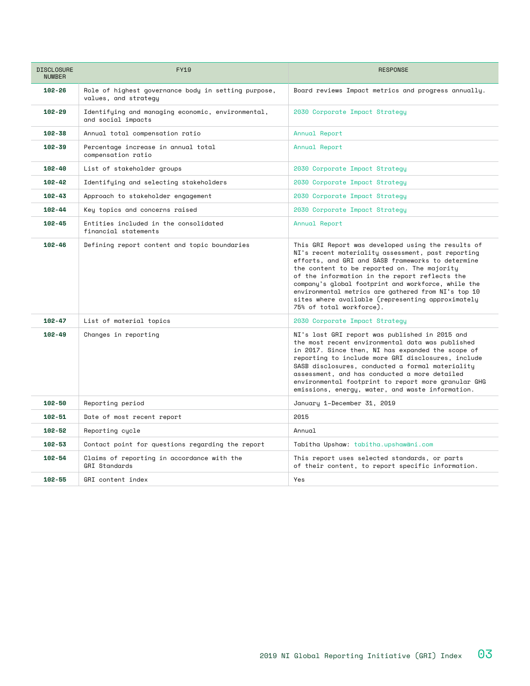| <b>DISCLOSURE</b><br><b>NUMBER</b> | <b>FY19</b>                                                                 | <b>RESPONSE</b>                                                                                                                                                                                                                                                                                                                                                                                                                                              |
|------------------------------------|-----------------------------------------------------------------------------|--------------------------------------------------------------------------------------------------------------------------------------------------------------------------------------------------------------------------------------------------------------------------------------------------------------------------------------------------------------------------------------------------------------------------------------------------------------|
| $102 - 26$                         | Role of highest governance body in setting purpose,<br>values, and strategy | Board reviews Impact metrics and progress annually.                                                                                                                                                                                                                                                                                                                                                                                                          |
| $102 - 29$                         | Identifying and managing economic, environmental,<br>and social impacts     | 2030 Corporate Impact Stratequ                                                                                                                                                                                                                                                                                                                                                                                                                               |
| $102 - 38$                         | Annual total compensation ratio                                             | Annual Report                                                                                                                                                                                                                                                                                                                                                                                                                                                |
| $102 - 39$                         | Percentage increase in annual total<br>compensation ratio                   | Annual Report                                                                                                                                                                                                                                                                                                                                                                                                                                                |
| $102 - 40$                         | List of stakeholder groups                                                  | 2030 Corporate Impact Strategy                                                                                                                                                                                                                                                                                                                                                                                                                               |
| $102 - 42$                         | Identifying and selecting stakeholders                                      | 2030 Corporate Impact Stratequ                                                                                                                                                                                                                                                                                                                                                                                                                               |
| $102 - 43$                         | Approach to stakeholder engagement                                          | 2030 Corporate Impact Stratequ                                                                                                                                                                                                                                                                                                                                                                                                                               |
| $102 - 44$                         | Key topics and concerns raised                                              | 2030 Corporate Impact Strategy                                                                                                                                                                                                                                                                                                                                                                                                                               |
| $102 - 45$                         | Entities included in the consolidated<br>financial statements               | Annual Report                                                                                                                                                                                                                                                                                                                                                                                                                                                |
| $102 - 46$                         | Defining report content and topic boundaries                                | This GRI Report was developed using the results of<br>NI's recent materiality assessment, past reporting<br>efforts, and GRI and SASB frameworks to determine<br>the content to be reported on. The majority<br>of the information in the report reflects the<br>company's global footprint and workforce, while the<br>environmental metrics are gathered from NI's top 10<br>sites where available (representing approximately<br>75% of total workforce). |
| $102 - 47$                         | List of material topics                                                     | 2030 Corporate Impact Strategy                                                                                                                                                                                                                                                                                                                                                                                                                               |
| $102 - 49$                         | Changes in reporting                                                        | NI's last GRI report was published in 2015 and<br>the most recent environmental data was published<br>in 2017. Since then, NI has expanded the scope of<br>reporting to include more GRI disclosures, include<br>SASB disclosures, conducted a formal materiality<br>assessment, and has conducted a more detailed<br>environmental footprint to report more granular GHG<br>emissions, energy, water, and waste information.                                |
| $102 - 50$                         | Reporting period                                                            | January 1-December 31, 2019                                                                                                                                                                                                                                                                                                                                                                                                                                  |
| $102 - 51$                         | Date of most recent report                                                  | 2015                                                                                                                                                                                                                                                                                                                                                                                                                                                         |
| $102 - 52$                         | Reporting cycle                                                             | Annual                                                                                                                                                                                                                                                                                                                                                                                                                                                       |
| 102-53                             | Contact point for questions regarding the report                            | Tabitha Upshaw: tabitha.upshawani.com                                                                                                                                                                                                                                                                                                                                                                                                                        |
| $102 - 54$                         | Claims of reporting in accordance with the<br><b>GRI Standards</b>          | This report uses selected standards, or parts<br>of their content, to report specific information.                                                                                                                                                                                                                                                                                                                                                           |
| $102 - 55$                         | GRI content index                                                           | Yes                                                                                                                                                                                                                                                                                                                                                                                                                                                          |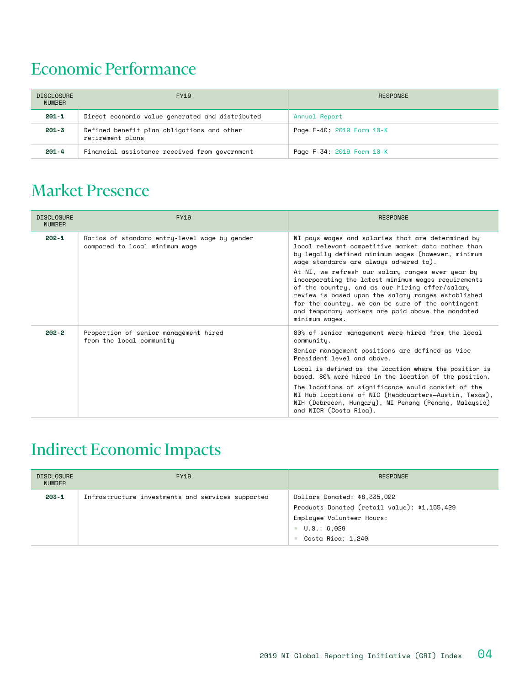#### Economic Performance

| <b>DISCLOSURE</b><br><b>NUMBER</b> | <b>FY19</b>                                                    | RESPONSE                  |
|------------------------------------|----------------------------------------------------------------|---------------------------|
| $201 - 1$                          | Direct economic value generated and distributed                | Annual Report             |
| $201 - 3$                          | Defined benefit plan obligations and other<br>retirement plans | Page F-40: 2019 Form 10-K |
| $201 - 4$                          | Financial assistance received from government                  | Page F-34: 2019 Form 10-K |

#### Market Presence

| <b>DISCLOSURE</b><br><b>NUMBER</b> | FY19                                                                            | <b>RESPONSE</b>                                                                                                                                                                                                                                                                                                                                                                                                                                                         |
|------------------------------------|---------------------------------------------------------------------------------|-------------------------------------------------------------------------------------------------------------------------------------------------------------------------------------------------------------------------------------------------------------------------------------------------------------------------------------------------------------------------------------------------------------------------------------------------------------------------|
| $202 - 1$                          | Ratios of standard entry-level wage by gender<br>compared to local minimum wage | NI pays wages and salaries that are determined by<br>local relevant competitive market data rather than<br>by legally defined minimum wages (however, minimum<br>wage standards are always adhered to).                                                                                                                                                                                                                                                                 |
|                                    |                                                                                 | At NI, we refresh our salary ranges ever year by<br>incorporating the latest minimum wages requirements<br>of the country, and as our hiring offer/salary<br>review is based upon the salary ranges established<br>for the country, we can be sure of the contingent<br>and temporary workers are paid above the mandated<br>minimum waqes.                                                                                                                             |
| $202 - 2$                          | Proportion of senior management hired<br>from the local community               | 80% of senior management were hired from the local<br>community.<br>Senior management positions are defined as Vice<br>President level and above.<br>Local is defined as the location where the position is<br>based. 80% were hired in the location of the position.<br>The locations of significance would consist of the<br>NI Hub locations of NIC (Headquarters–Austin, Texas),<br>NIH (Debrecen, Hungary), NI Penang (Penang, Malaysia)<br>and NICR (Costa Rica). |

## Indirect Economic Impacts

| <b>DISCLOSURE</b><br><b>NUMBER</b> | <b>FY19</b>                                       | <b>RESPONSE</b>                                                                                                                                              |
|------------------------------------|---------------------------------------------------|--------------------------------------------------------------------------------------------------------------------------------------------------------------|
| $203 - 1$                          | Infrastructure investments and services supported | Dollars Donated: \$8,335,022<br>Products Donated (retail value): \$1,155,429<br>Employee Volunteer Hours:<br>$\blacksquare$ U.S.: 6,029<br>Costa Rica: 1,240 |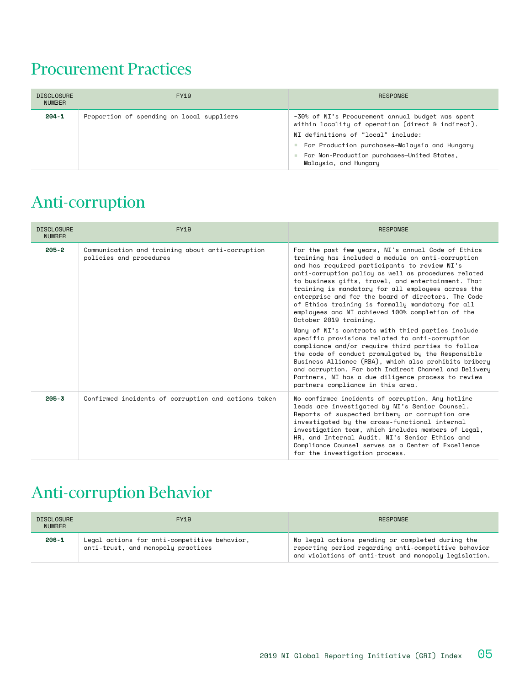#### Procurement Practices

| <b>DISCLOSURE</b><br><b>NUMBER</b> | FY19                                      | <b>RESPONSE</b>                                                                                                                                                                                                                                                      |
|------------------------------------|-------------------------------------------|----------------------------------------------------------------------------------------------------------------------------------------------------------------------------------------------------------------------------------------------------------------------|
| $204 - 1$                          | Proportion of spending on local suppliers | ~30% of NI's Procurement annual budget was spent<br>within locality of operation (direct & indirect).<br>NI definitions of "local" include:<br>For Production purchases-Malaysia and Hungary<br>For Non-Production purchases-United States,<br>Malaysia, and Hungary |

## Anti-corruption

| <b>DISCLOSURE</b><br><b>NUMBER</b> | <b>FY19</b>                                                                 | <b>RESPONSE</b>                                                                                                                                                                                                                                                                                                                                                                                                                                                                                                      |
|------------------------------------|-----------------------------------------------------------------------------|----------------------------------------------------------------------------------------------------------------------------------------------------------------------------------------------------------------------------------------------------------------------------------------------------------------------------------------------------------------------------------------------------------------------------------------------------------------------------------------------------------------------|
| $205 - 2$                          | Communication and training about anti-corruption<br>policies and procedures | For the past few years, NI's annual Code of Ethics<br>training has included a module on anti-corruption<br>and has required participants to review NI's<br>anti-corruption policy as well as procedures related<br>to business gifts, travel, and entertainment. That<br>training is mandatory for all employees across the<br>enterprise and for the board of directors. The Code<br>of Ethics training is formally mandatory for all<br>employees and NI achieved 100% completion of the<br>October 2019 training. |
|                                    |                                                                             | Many of NI's contracts with third parties include<br>specific provisions related to anti-corruption<br>compliance and/or require third parties to follow<br>the code of conduct promulgated by the Responsible<br>Business Alliance (RBA), which also prohibits bribery<br>and corruption. For both Indirect Channel and Delivery<br>Partners, NI has a due diligence process to review<br>partners compliance in this area.                                                                                         |
| $205 - 3$                          | Confirmed incidents of corruption and actions taken                         | No confirmed incidents of corruption. Any hotline<br>leads are investigated by NI's Senior Counsel.<br>Reports of suspected bribery or corruption are<br>investigated by the cross-functional internal<br>investigation team, which includes members of Legal,<br>HR, and Internal Audit, NI's Senior Ethics and<br>Compliance Counsel serves as a Center of Excellence<br>for the investigation process.                                                                                                            |

#### Anti-corruption Behavior

| <b>DISCLOSURE</b><br><b>NUMBER</b> | FY19                                                                               | RESPONSE                                                                                                                                                           |
|------------------------------------|------------------------------------------------------------------------------------|--------------------------------------------------------------------------------------------------------------------------------------------------------------------|
| $206 - 1$                          | Legal actions for anti-competitive behavior,<br>anti-trust, and monopoly practices | No legal actions pending or completed during the<br>reporting period regarding anti-competitive behavior<br>and violations of anti-trust and monopoly legislation. |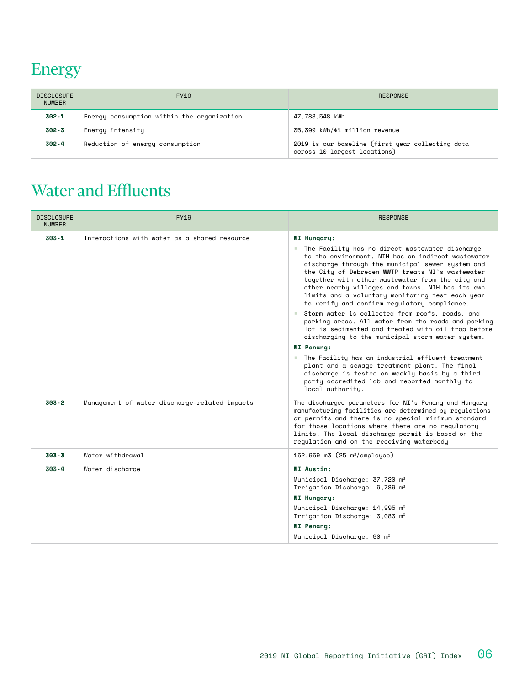## Energy

| <b>DISCLOSURE</b><br><b>NUMBER</b> | <b>FY19</b>                                | <b>RESPONSE</b>                                                                  |
|------------------------------------|--------------------------------------------|----------------------------------------------------------------------------------|
| $302 - 1$                          | Energy consumption within the organization | 47,788,548 kWh                                                                   |
| $302 - 3$                          | Energy intensity                           | 35.399 kWh/\$1 million revenue                                                   |
| $302 - 4$                          | Reduction of energy consumption            | 2019 is our baseline (first year collecting data<br>across 10 largest locations) |

## Water and Effluents

| <b>DISCLOSURE</b><br><b>NUMBER</b> | <b>FY19</b>                                   | <b>RESPONSE</b>                                                                                                                                                                                                                                                                                                                                                                                                                                                                                                                                                                                                                                                                                                                                                                                                                                                                                                 |
|------------------------------------|-----------------------------------------------|-----------------------------------------------------------------------------------------------------------------------------------------------------------------------------------------------------------------------------------------------------------------------------------------------------------------------------------------------------------------------------------------------------------------------------------------------------------------------------------------------------------------------------------------------------------------------------------------------------------------------------------------------------------------------------------------------------------------------------------------------------------------------------------------------------------------------------------------------------------------------------------------------------------------|
| $303 - 1$                          | Interactions with water as a shared resource  | NI Hungary:<br>The Facility has no direct wastewater discharge<br>to the environment. NIH has an indirect wastewater<br>discharge through the municipal sewer system and<br>the City of Debrecen WWTP treats NI's wastewater<br>together with other wastewater from the city and<br>other nearby villages and towns. NIH has its own<br>limits and a voluntary monitoring test each year<br>to verify and confirm requlatory compliance.<br>Storm water is collected from roofs, roads, and<br>parking areas. All water from the roads and parking<br>lot is sedimented and treated with oil trap before<br>discharging to the municipal storm water system.<br><b>NI</b> Penang:<br>■ The Facility has an industrial effluent treatment<br>plant and a sewage treatment plant. The final<br>discharge is tested on weekly basis by a third<br>party accredited lab and reported monthly to<br>local authority. |
| 303-2                              | Management of water discharge-related impacts | The discharged parameters for NI's Penang and Hungary<br>manufacturing facilities are determined by regulations<br>or permits and there is no special minimum standard<br>for those locations where there are no regulatory<br>limits. The local discharge permit is based on the<br>requlation and on the receiving waterbody.                                                                                                                                                                                                                                                                                                                                                                                                                                                                                                                                                                                 |
| 303-3                              | Water withdrawal                              | 152,959 $m3$ (25 $m^3$ /employee)                                                                                                                                                                                                                                                                                                                                                                                                                                                                                                                                                                                                                                                                                                                                                                                                                                                                               |
| 303-4                              | Water discharge                               | NI Austin:<br>Municipal Discharge: 37,720 m <sup>3</sup><br>Irrigation Discharge: 6,789 m <sup>3</sup><br>NI Hungary:<br>Municipal Discharge: 14,995 m <sup>3</sup><br>Irrigation Discharge: 3,083 m <sup>3</sup><br>NI Penang:<br>Municipal Discharge: 90 m <sup>3</sup>                                                                                                                                                                                                                                                                                                                                                                                                                                                                                                                                                                                                                                       |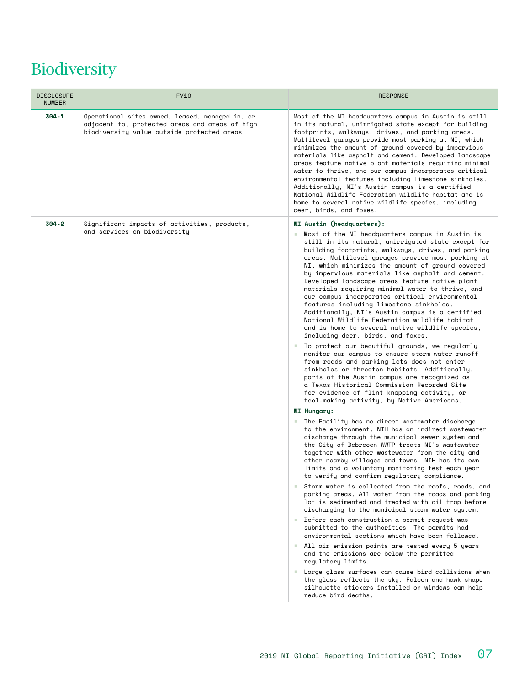## Biodiversity

| <b>DISCLOSURE</b><br><b>NUMBER</b> | <b>FY19</b>                                                                                                                                     | <b>RESPONSE</b>                                                                                                                                                                                                                                                                                                                                                                                                                                                                                                                                                                                                                                                                                                                                                                                                                                                                                                                                                                                                                                                                                                                                                                                                                                                                                                                                                                                                                                                                                                                                                                                                                                                                                                                                                                                                                                                                                                                                                                                                                                                                                                                                                                                                                      |
|------------------------------------|-------------------------------------------------------------------------------------------------------------------------------------------------|--------------------------------------------------------------------------------------------------------------------------------------------------------------------------------------------------------------------------------------------------------------------------------------------------------------------------------------------------------------------------------------------------------------------------------------------------------------------------------------------------------------------------------------------------------------------------------------------------------------------------------------------------------------------------------------------------------------------------------------------------------------------------------------------------------------------------------------------------------------------------------------------------------------------------------------------------------------------------------------------------------------------------------------------------------------------------------------------------------------------------------------------------------------------------------------------------------------------------------------------------------------------------------------------------------------------------------------------------------------------------------------------------------------------------------------------------------------------------------------------------------------------------------------------------------------------------------------------------------------------------------------------------------------------------------------------------------------------------------------------------------------------------------------------------------------------------------------------------------------------------------------------------------------------------------------------------------------------------------------------------------------------------------------------------------------------------------------------------------------------------------------------------------------------------------------------------------------------------------------|
| $304 - 1$                          | Operational sites owned, leased, managed in, or<br>adjacent to, protected areas and areas of high<br>biodiversity value outside protected areas | Most of the NI headquarters campus in Austin is still<br>in its natural, unirrigated state except for building<br>footprints, walkways, drives, and parking areas.<br>Multilevel garages provide most parking at NI, which<br>minimizes the amount of ground covered by impervious<br>materials like asphalt and cement. Developed landscape<br>areas feature native plant materials requiring minimal<br>water to thrive, and our campus incorporates critical<br>environmental features including limestone sinkholes.<br>Additionally, NI's Austin campus is a certified<br>National Wildlife Federation wildlife habitat and is<br>home to several native wildlife species, including<br>deer, birds, and foxes.                                                                                                                                                                                                                                                                                                                                                                                                                                                                                                                                                                                                                                                                                                                                                                                                                                                                                                                                                                                                                                                                                                                                                                                                                                                                                                                                                                                                                                                                                                                 |
| $304 - 2$                          | Significant impacts of activities, products,<br>and services on biodiversity                                                                    | NI Austin (headquarters):<br>Most of the NI headquarters campus in Austin is<br><b>COL</b><br>still in its natural, unirrigated state except for<br>building footprints, walkways, drives, and parking<br>areas. Multilevel garages provide most parking at<br>NI, which minimizes the amount of ground covered<br>by impervious materials like asphalt and cement.<br>Developed landscape areas feature native plant<br>materials requiring minimal water to thrive, and<br>our campus incorporates critical environmental<br>features including limestone sinkholes.<br>Additionally, NI's Austin campus is a certified<br>National Wildlife Federation wildlife habitat<br>and is home to several native wildlife species,<br>including deer, birds, and foxes.<br>" To protect our beautiful grounds, we regularly<br>monitor our campus to ensure storm water runoff<br>from roads and parking lots does not enter<br>sinkholes or threaten habitats. Additionally,<br>parts of the Austin campus are recognized as<br>a Texas Historical Commission Recorded Site<br>for evidence of flint knapping activity, or<br>tool-making activity, by Native Americans.<br>NI Hungary:<br>■ The Facility has no direct wastewater discharge<br>to the environment. NIH has an indirect wastewater<br>discharge through the municipal sewer system and<br>the City of Debrecen WWTP treats NI's wastewater<br>together with other wastewater from the city and<br>other nearby villages and towns. NIH has its own<br>limits and a voluntary monitoring test each year<br>to verify and confirm regulatory compliance.<br>Storm water is collected from the roofs, roads, and<br>parking areas. All water from the roads and parking<br>lot is sedimented and treated with oil trap before<br>discharging to the municipal storm water system.<br>Before each construction a permit request was<br><b>College</b><br>submitted to the authorities. The permits had<br>environmental sections which have been followed.<br>All air emission points are tested every 5 years<br><b>College</b><br>and the emissions are below the permitted<br>regulatory limits.<br>Large glass surfaces can cause bird collisions when<br><b>College</b> |
|                                    |                                                                                                                                                 | the glass reflects the sky. Falcon and hawk shape<br>silhouette stickers installed on windows can help<br>reduce bird deaths.                                                                                                                                                                                                                                                                                                                                                                                                                                                                                                                                                                                                                                                                                                                                                                                                                                                                                                                                                                                                                                                                                                                                                                                                                                                                                                                                                                                                                                                                                                                                                                                                                                                                                                                                                                                                                                                                                                                                                                                                                                                                                                        |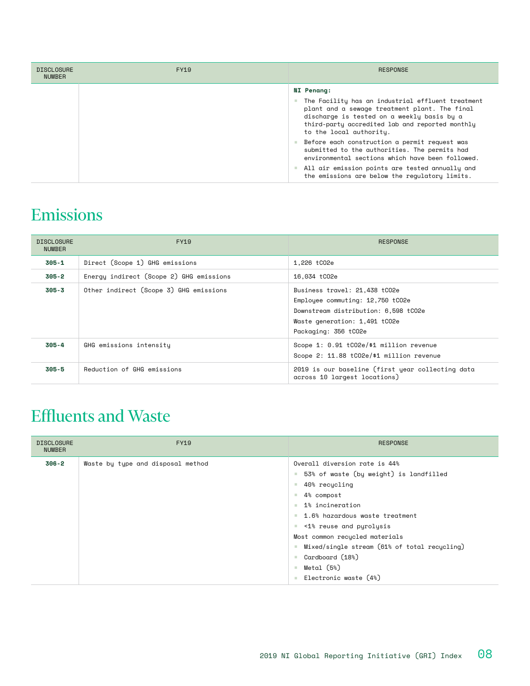| <b>DISCLOSURE</b><br><b>NUMBER</b> | FY19 | <b>RESPONSE</b>                                                                                                                                                                                                                                     |
|------------------------------------|------|-----------------------------------------------------------------------------------------------------------------------------------------------------------------------------------------------------------------------------------------------------|
|                                    |      | <b>NI Penang:</b><br>The Facility has an industrial effluent treatment<br>plant and a sewage treatment plant. The final<br>discharge is tested on a weekly basis by a<br>third-party accredited lab and reported monthly<br>to the local authority. |
|                                    |      | Before each construction a permit request was<br>submitted to the authorities. The permits had<br>environmental sections which have been followed.                                                                                                  |
|                                    |      | All air emission points are tested annually and<br>the emissions are below the regulatory limits.                                                                                                                                                   |

#### Emissions

| <b>DISCLOSURE</b><br><b>NUMBER</b> | FY19                                    | <b>RESPONSE</b>                                                                                                                                                    |
|------------------------------------|-----------------------------------------|--------------------------------------------------------------------------------------------------------------------------------------------------------------------|
| $305 - 1$                          | Direct (Scope 1) GHG emissions          | 1,226 tC02e                                                                                                                                                        |
| 305-2                              | Energy indirect (Scope 2) GHG emissions | 16.034 tC02e                                                                                                                                                       |
| $305 - 3$                          | Other indirect (Scope 3) GHG emissions  | Business travel: 21,438 tCO2e<br>Employee commuting: 12,750 tCO2e<br>Downstream distribution: 6,598 tCO2e<br>Waste generation: 1,491 tCO2e<br>Packaging: 356 tCO2e |
| $305 - 4$                          | GHG emissions intensity                 | Scope 1: 0.91 tC02e/\$1 million revenue<br>Scope 2: 11.88 tCO2e/\$1 million revenue                                                                                |
| $305 - 5$                          | Reduction of GHG emissions              | 2019 is our baseline (first year collecting data<br>across 10 largest locations)                                                                                   |

## Effluents and Waste

| <b>DISCLOSURE</b><br><b>NUMBER</b> | <b>FY19</b>                       | <b>RESPONSE</b>                                                                                                                                                                                                                                                                                                                                                                               |
|------------------------------------|-----------------------------------|-----------------------------------------------------------------------------------------------------------------------------------------------------------------------------------------------------------------------------------------------------------------------------------------------------------------------------------------------------------------------------------------------|
| $306 - 2$                          | Waste by type and disposal method | Overall diversion rate is 44%<br>53% of waste (by weight) is landfilled<br>m.<br>40% recucling<br>ш<br>4% compost<br>a.<br>1% incineration<br>a.<br>■ 1.6% hazardous waste treatment<br>Similar <1% reuse and pyrolysis<br>Most common recycled materials<br>Mixed/single stream (61% of total recycling)<br>Cardboard (18%)<br>a.<br>Metal (5%)<br><b>III</b><br>Electronic waste (4%)<br>a. |
|                                    |                                   |                                                                                                                                                                                                                                                                                                                                                                                               |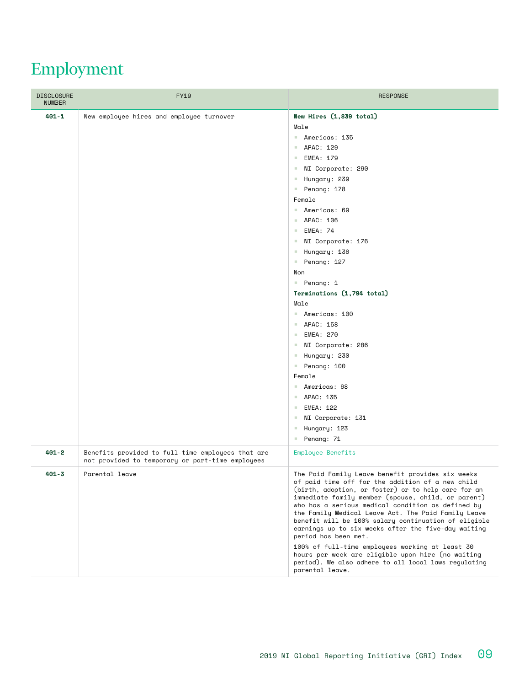## Employment

| <b>DISCLOSURE</b><br><b>NUMBER</b> | <b>FY19</b>                                                                                           | <b>RESPONSE</b>                                                                                                                                                                                                                                                                                                                                                                                                                                                                                                                                                                                                                                                                                                                                                                             |
|------------------------------------|-------------------------------------------------------------------------------------------------------|---------------------------------------------------------------------------------------------------------------------------------------------------------------------------------------------------------------------------------------------------------------------------------------------------------------------------------------------------------------------------------------------------------------------------------------------------------------------------------------------------------------------------------------------------------------------------------------------------------------------------------------------------------------------------------------------------------------------------------------------------------------------------------------------|
| $401 - 1$                          | New employee hires and employee turnover                                                              | New Hires (1,839 total)<br>Male<br>Americas: 135<br>APAC: 129<br>$\mathcal{L}_{\mathcal{A}}$<br><b>EMEA: 179</b><br>a.<br>NI Corporate: 290<br><b>CO</b><br>Hungary: 239<br>a.<br>Penang: 178<br>$\mathbb{Z}^n$ .<br>Female<br>Americas: 69<br>APAC: 106<br><b>College</b><br><b>EMEA: 74</b><br>a.<br>NI Corporate: 176<br><b>CO</b><br>Hungary: 136<br>a.<br>Penang: 127<br>$\mathbb{Z}^n$ .<br>Non<br>Penang: 1<br>Terminations (1,794 total)<br>Male<br>Americas: 100<br>APAC: 158<br><b>EMEA: 270</b><br>a.<br>NI Corporate: 286<br>a.<br>Hungary: 230<br>$\mathcal{L}_{\mathcal{A}}$<br>Penang: 100<br><b>COL</b><br>Female<br>Americas: 68<br>APAC: 135<br><b>College</b><br>EMEA: 122<br>a.<br>NI Corporate: 131<br><b>CO</b><br>Hungary: 123<br><b>CO</b><br>Penang: 71<br>and the |
| $401 - 2$                          | Benefits provided to full-time employees that are<br>not provided to temporary or part-time employees | Employee Benefits                                                                                                                                                                                                                                                                                                                                                                                                                                                                                                                                                                                                                                                                                                                                                                           |
| $401 - 3$                          | Parental leave                                                                                        | The Paid Family Leave benefit provides six weeks<br>of paid time off for the addition of a new child<br>(birth, adoption, or foster) or to help care for an<br>immediate family member (spouse, child, or parent)<br>who has a serious medical condition as defined by<br>the Family Medical Leave Act. The Paid Family Leave<br>benefit will be 100% salary continuation of eligible<br>earnings up to six weeks after the five-day waiting<br>period has been met.<br>100% of full-time employees working at least 30<br>hours per week are eligible upon hire (no waiting<br>period). We also adhere to all local laws regulating<br>parental leave.                                                                                                                                     |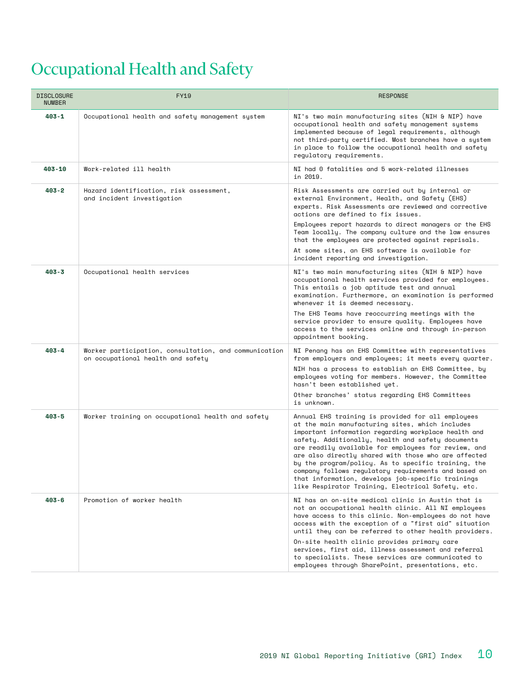## Occupational Health and Safety

| <b>DISCLOSURE</b><br><b>NUMBER</b> | <b>FY19</b>                                                                                | <b>RESPONSE</b>                                                                                                                                                                                                                                                                                                                                                                                                                                                                                                                                           |
|------------------------------------|--------------------------------------------------------------------------------------------|-----------------------------------------------------------------------------------------------------------------------------------------------------------------------------------------------------------------------------------------------------------------------------------------------------------------------------------------------------------------------------------------------------------------------------------------------------------------------------------------------------------------------------------------------------------|
| $403 - 1$                          | Occupational health and safety management system                                           | NI's two main manufacturing sites (NIH & NIP) have<br>occupational health and safety management systems<br>implemented because of legal requirements, although<br>not third-party certified. Most branches have a system<br>in place to follow the occupational health and safety<br>requlatory requirements.                                                                                                                                                                                                                                             |
| 403-10                             | Work-related ill health                                                                    | NI had 0 fatalities and 5 work-related illnesses<br>in 2019.                                                                                                                                                                                                                                                                                                                                                                                                                                                                                              |
| $403 - 2$                          | Hazard identification, risk assessment,<br>and incident investigation                      | Risk Assessments are carried out by internal or<br>external Environment, Health, and Safety (EHS)<br>experts. Risk Assessments are reviewed and corrective<br>actions are defined to fix issues.                                                                                                                                                                                                                                                                                                                                                          |
|                                    |                                                                                            | Employees report hazards to direct managers or the EHS<br>Team locally. The company culture and the law ensures<br>that the employees are protected against reprisals.<br>At some sites, an EHS software is available for<br>incident reporting and investigation.                                                                                                                                                                                                                                                                                        |
| $403 - 3$                          | Occupational health services                                                               | NI's two main manufacturing sites (NIH & NIP) have<br>occupational health services provided for employees.<br>This entails a job aptitude test and annual<br>examination. Furthermore, an examination is performed<br>whenever it is deemed necessary.<br>The EHS Teams have reoccurring meetings with the                                                                                                                                                                                                                                                |
|                                    |                                                                                            | service provider to ensure quality. Employees have<br>access to the services online and through in-person<br>appointment booking.                                                                                                                                                                                                                                                                                                                                                                                                                         |
| $403 - 4$                          | Worker participation, consultation, and communication<br>on occupational health and safety | NI Penang has an EHS Committee with representatives<br>from employers and employees; it meets every quarter.                                                                                                                                                                                                                                                                                                                                                                                                                                              |
|                                    |                                                                                            | NIH has a process to establish an EHS Committee, by<br>employees voting for members. However, the Committee<br>hasn't been established yet.                                                                                                                                                                                                                                                                                                                                                                                                               |
|                                    |                                                                                            | Other branches' status regarding EHS Committees<br>is unknown.                                                                                                                                                                                                                                                                                                                                                                                                                                                                                            |
| $403 - 5$                          | Worker training on occupational health and safety                                          | Annual EHS training is provided for all employees<br>at the main manufacturing sites, which includes<br>important information regarding workplace health and<br>safety. Additionally, health and safety documents<br>are readily available for employees for review, and<br>are also directly shared with those who are affected<br>by the program/policy. As to specific training, the<br>company follows requlatory requirements and based on<br>that information, develops job-specific trainings<br>like Respirator Training, Electrical Safety, etc. |
| $403 - 6$                          | Promotion of worker health                                                                 | NI has an on-site medical clinic in Austin that is<br>not an occupational health clinic. All NI employees<br>have access to this clinic. Non-employees do not have<br>access with the exception of a "first aid" situation<br>until they can be referred to other health providers.                                                                                                                                                                                                                                                                       |
|                                    |                                                                                            | On-site health clinic provides primary care<br>services, first aid, illness assessment and referral<br>to specialists. These services are communicated to<br>employees through SharePoint, presentations, etc.                                                                                                                                                                                                                                                                                                                                            |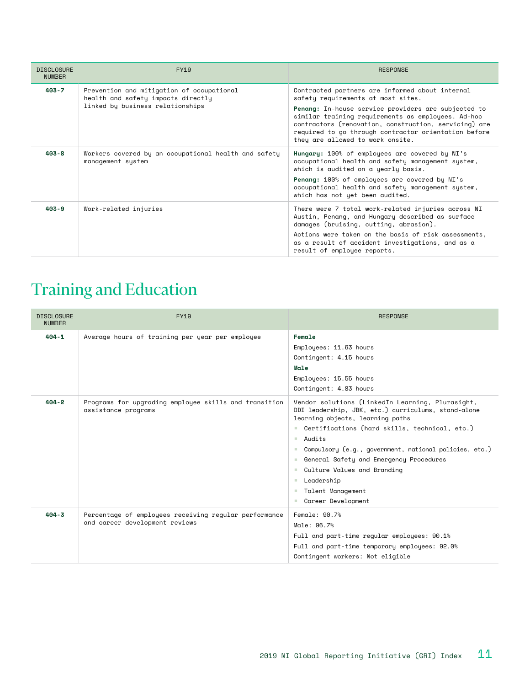| <b>DISCLOSURE</b><br><b>NUMBER</b> | <b>FY19</b>                                                                                                         | <b>RESPONSE</b>                                                                                                                                                                                                                                                                                                                                         |
|------------------------------------|---------------------------------------------------------------------------------------------------------------------|---------------------------------------------------------------------------------------------------------------------------------------------------------------------------------------------------------------------------------------------------------------------------------------------------------------------------------------------------------|
| $403 - 7$                          | Prevention and mitigation of occupational<br>health and safety impacts directly<br>linked by business relationships | Contracted partners are informed about internal<br>safety requirements at most sites.<br>Penang: In-house service providers are subjected to<br>similar training requirements as employees. Ad-hoc<br>contractors (renovation, construction, servicing) are<br>required to go through contractor orientation before<br>they are allowed to work onsite. |
| $403 - 8$                          | Workers covered by an occupational health and safety<br>management system                                           | Hungary: 100% of employees are covered by NI's<br>occupational health and safety management system,<br>which is audited on a yearly basis.<br>Penang: 100% of employees are covered by NI's<br>occupational health and safety management system,<br>which has not yet been audited.                                                                     |
| $403 - 9$                          | Work-related injuries                                                                                               | There were 7 total work-related injuries across NI<br>Austin, Penang, and Hungary described as surface<br>damages (bruising, cutting, abrasion).<br>Actions were taken on the basis of risk assessments,<br>as a result of accident investigations, and as a<br>result of employee reports.                                                             |

## Training and Education

| <b>DISCLOSURE</b><br><b>NUMBER</b> | FY19                                                                                    | <b>RESPONSE</b>                                                                                                                                                                                                                                                                                                                                                                                                                                         |
|------------------------------------|-----------------------------------------------------------------------------------------|---------------------------------------------------------------------------------------------------------------------------------------------------------------------------------------------------------------------------------------------------------------------------------------------------------------------------------------------------------------------------------------------------------------------------------------------------------|
| $404 - 1$                          | Average hours of training per year per employee                                         | Female<br>Employees: 11.63 hours<br>Contingent: 4.15 hours<br><b>Male</b><br>Employees: 15.55 hours<br>Contingent: 4.83 hours                                                                                                                                                                                                                                                                                                                           |
| $404 - 2$                          | Programs for upgrading employee skills and transition<br>assistance programs            | Vendor solutions (LinkedIn Learning, Plurasight,<br>DDI leadership, JBK, etc.) curriculums, stand-alone<br>learning objects, learning paths<br>Certifications (hard skills, technical, etc.)<br>Audits<br>m.<br>Compulsory (e.g., government, national policies, etc.)<br>General Safety and Emergency Procedures<br>a.<br>Culture Values and Branding<br>a.<br>Leadership<br>a.<br>Talent Management<br><b>COL</b><br>Career Development<br><b>COL</b> |
| $404 - 3$                          | Percentage of employees receiving regular performance<br>and career development reviews | Female: 90.7%<br>Male: 96.7%<br>Full and part-time reqular employees: 90.1%<br>Full and part-time temporary employees: 92.0%<br>Contingent workers: Not eligible                                                                                                                                                                                                                                                                                        |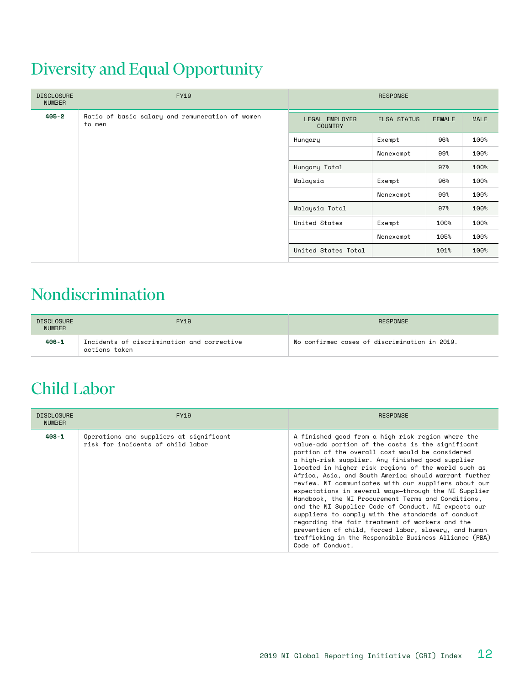## Diversity and Equal Opportunity

| <b>DISCLOSURE</b><br><b>NUMBER</b> | <b>FY19</b>                                               |                                  | <b>RESPONSE</b>    |               |             |
|------------------------------------|-----------------------------------------------------------|----------------------------------|--------------------|---------------|-------------|
| $405 - 2$                          | Ratio of basic salary and remuneration of women<br>to men | LEGAL EMPLOYER<br><b>COUNTRY</b> | <b>FLSA STATUS</b> | <b>FEMALE</b> | <b>MALE</b> |
|                                    |                                                           | Hungary                          | Exempt             | 96%           | 100%        |
|                                    |                                                           |                                  | Nonexempt          | 99%           | 100%        |
|                                    |                                                           | Hungary Total                    |                    | 97%           | 100%        |
|                                    |                                                           | Malaysia                         | Exempt             | 96%           | 100%        |
|                                    |                                                           |                                  | Nonexempt          | 99%           | 100%        |
|                                    |                                                           | Malaysia Total                   |                    | 97%           | 100%        |
|                                    |                                                           | United States                    | Exempt             | 100%          | 100%        |
|                                    |                                                           |                                  | Nonexempt          | 105%          | 100%        |
|                                    |                                                           | United States Total              |                    | 101%          | 100%        |

#### Nondiscrimination

| <b>DISCLOSURE</b><br><b>NUMBER</b> | FY19                                                        | RESPONSE                                      |
|------------------------------------|-------------------------------------------------------------|-----------------------------------------------|
| $406 - 1$                          | Incidents of discrimination and corrective<br>actions taken | No confirmed cases of discrimination in 2019. |

#### Child Labor

| <b>DISCLOSURE</b><br><b>NUMBER</b> | FY19                                                                         | <b>RESPONSE</b>                                                                                                                                                                                                                                                                                                                                                                                                                                                                                                                                                                                                                                                                                                                                                                                            |
|------------------------------------|------------------------------------------------------------------------------|------------------------------------------------------------------------------------------------------------------------------------------------------------------------------------------------------------------------------------------------------------------------------------------------------------------------------------------------------------------------------------------------------------------------------------------------------------------------------------------------------------------------------------------------------------------------------------------------------------------------------------------------------------------------------------------------------------------------------------------------------------------------------------------------------------|
| $408 - 1$                          | Operations and suppliers at significant<br>risk for incidents of child labor | A finished good from a high-risk region where the<br>value-add portion of the costs is the significant<br>portion of the overall cost would be considered<br>a high-risk supplier. Any finished good supplier<br>located in higher risk regions of the world such as<br>Africa, Asia, and South America should warrant further<br>review. NI communicates with our suppliers about our<br>expectations in several ways-through the NI Supplier<br>Handbook, the NI Procurement Terms and Conditions,<br>and the NI Supplier Code of Conduct. NI expects our<br>suppliers to comply with the standards of conduct<br>regarding the fair treatment of workers and the<br>prevention of child, forced labor, slavery, and human<br>trafficking in the Responsible Business Alliance (RBA)<br>Code of Conduct. |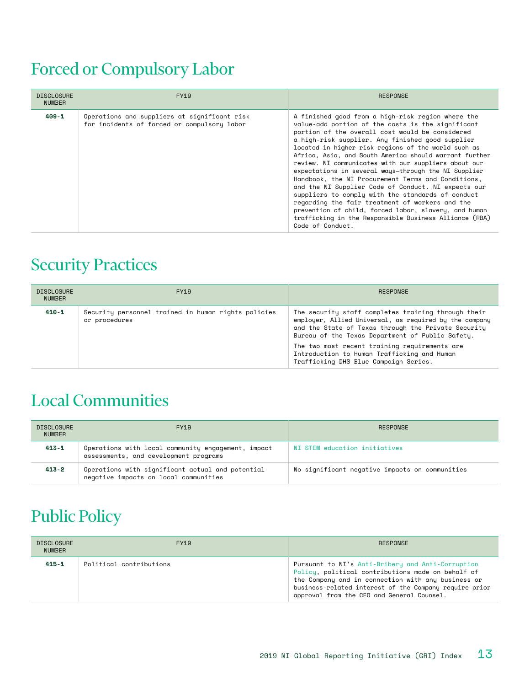## Forced or Compulsory Labor

| <b>DISCLOSURE</b><br><b>NUMBER</b> | FY19                                                                                        | <b>RESPONSE</b>                                                                                                                                                                                                                                                                                                                                                                                                                                                                                                                                                                                                                                                                                                                                                                                            |
|------------------------------------|---------------------------------------------------------------------------------------------|------------------------------------------------------------------------------------------------------------------------------------------------------------------------------------------------------------------------------------------------------------------------------------------------------------------------------------------------------------------------------------------------------------------------------------------------------------------------------------------------------------------------------------------------------------------------------------------------------------------------------------------------------------------------------------------------------------------------------------------------------------------------------------------------------------|
| $409 - 1$                          | Operations and suppliers at significant risk<br>for incidents of forced or compulsory labor | A finished good from a high-risk region where the<br>value-add portion of the costs is the significant<br>portion of the overall cost would be considered<br>a high-risk supplier. Any finished good supplier<br>located in higher risk regions of the world such as<br>Africa, Asia, and South America should warrant further<br>review. NI communicates with our suppliers about our<br>expectations in several ways-through the NI Supplier<br>Handbook, the NI Procurement Terms and Conditions,<br>and the NI Supplier Code of Conduct. NI expects our<br>suppliers to comply with the standards of conduct<br>regarding the fair treatment of workers and the<br>prevention of child, forced labor, slavery, and human<br>trafficking in the Responsible Business Alliance (RBA)<br>Code of Conduct. |

#### Security Practices

| <b>DISCLOSURE</b><br><b>NUMBER</b> | FY19                                                                 | <b>RESPONSE</b>                                                                                                                                                                                                                                                                                                                                                   |
|------------------------------------|----------------------------------------------------------------------|-------------------------------------------------------------------------------------------------------------------------------------------------------------------------------------------------------------------------------------------------------------------------------------------------------------------------------------------------------------------|
| 410-1                              | Security personnel trained in human rights policies<br>or procedures | The security staff completes training through their<br>employer, Allied Universal, as required by the company<br>and the State of Texas through the Private Security<br>Bureau of the Texas Department of Public Safety.<br>The two most recent training requirements are<br>Introduction to Human Trafficking and Human<br>Trafficking-DHS Blue Campaign Series. |

#### Local Communities

| <b>DISCLOSURE</b><br><b>NUMBER</b> | FY19                                                                                        | RESPONSE                                       |
|------------------------------------|---------------------------------------------------------------------------------------------|------------------------------------------------|
| $413 - 1$                          | Operations with local community engagement, impact<br>assessments, and development programs | NI STEM education initiatives                  |
| 413-2                              | Operations with significant actual and potential<br>negative impacts on local communities   | No significant negative impacts on communities |

## Public Policy

| <b>DISCLOSURE</b><br><b>NUMBER</b> | <b>FY19</b>             | RESPONSE                                                                                                                                                                                                                                                             |
|------------------------------------|-------------------------|----------------------------------------------------------------------------------------------------------------------------------------------------------------------------------------------------------------------------------------------------------------------|
| $415 - 1$                          | Political contributions | Pursuant to NI's Anti-Bribery and Anti-Corruption<br>Policy, political contributions made on behalf of<br>the Company and in connection with any business or<br>business-related interest of the Company require prior<br>approval from the CEO and General Counsel. |